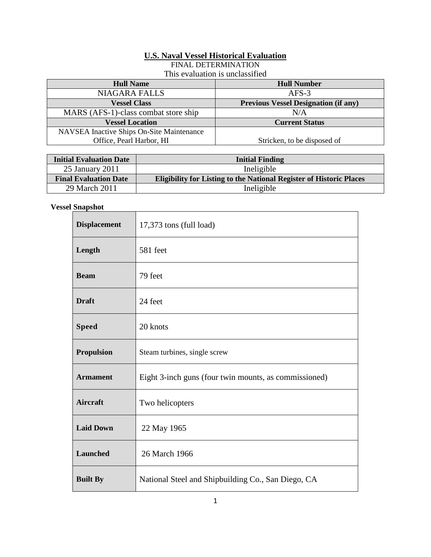## **U.S. Naval Vessel Historical Evaluation**

FINAL DETERMINATION

This evaluation is unclassified

| <b>Hull Number</b>                          |
|---------------------------------------------|
| $AFS-3$                                     |
| <b>Previous Vessel Designation (if any)</b> |
| N/A                                         |
| <b>Current Status</b>                       |
|                                             |
| Stricken, to be disposed of                 |
|                                             |

| <b>Initial Evaluation Date</b> | <b>Initial Finding</b>                                                     |
|--------------------------------|----------------------------------------------------------------------------|
| 25 January 2011                | Ineligible                                                                 |
| <b>Final Evaluation Date</b>   | <b>Eligibility for Listing to the National Register of Historic Places</b> |
| 29 March 2011                  | Ineligible                                                                 |

# **Vessel Snapshot**

| <b>Displacement</b> | 17,373 tons (full load)                               |
|---------------------|-------------------------------------------------------|
| Length              | 581 feet                                              |
| <b>Beam</b>         | 79 feet                                               |
| <b>Draft</b>        | 24 feet                                               |
| <b>Speed</b>        | 20 knots                                              |
| <b>Propulsion</b>   | Steam turbines, single screw                          |
| <b>Armament</b>     | Eight 3-inch guns (four twin mounts, as commissioned) |
| <b>Aircraft</b>     | Two helicopters                                       |
| <b>Laid Down</b>    | 22 May 1965                                           |
| Launched            | 26 March 1966                                         |
| <b>Built By</b>     | National Steel and Shipbuilding Co., San Diego, CA    |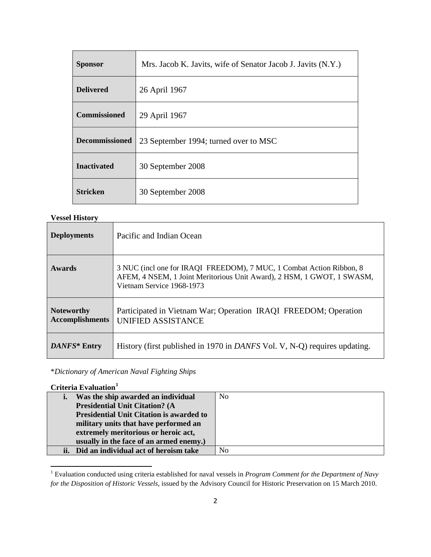| <b>Sponsor</b>        | Mrs. Jacob K. Javits, wife of Senator Jacob J. Javits (N.Y.) |
|-----------------------|--------------------------------------------------------------|
| <b>Delivered</b>      | 26 April 1967                                                |
| <b>Commissioned</b>   | 29 April 1967                                                |
| <b>Decommissioned</b> | 23 September 1994; turned over to MSC                        |
| <b>Inactivated</b>    | 30 September 2008                                            |
| <b>Stricken</b>       | 30 September 2008                                            |

#### **Vessel History**

| <b>Deployments</b>                          | Pacific and Indian Ocean                                                                                                                                                    |
|---------------------------------------------|-----------------------------------------------------------------------------------------------------------------------------------------------------------------------------|
| Awards                                      | 3 NUC (incl one for IRAQI FREEDOM), 7 MUC, 1 Combat Action Ribbon, 8<br>AFEM, 4 NSEM, 1 Joint Meritorious Unit Award), 2 HSM, 1 GWOT, 1 SWASM,<br>Vietnam Service 1968-1973 |
| <b>Noteworthy</b><br><b>Accomplishments</b> | Participated in Vietnam War; Operation IRAQI FREEDOM; Operation<br>UNIFIED ASSISTANCE                                                                                       |
| DANFS* Entry                                | History (first published in 1970 in <i>DANFS</i> Vol. V, N-Q) requires updating.                                                                                            |

\**Dictionary of American Naval Fighting Ships*

# **Criteria Evaluation[1](#page-1-0)**

 $\overline{a}$ 

| i.  | Was the ship awarded an individual              | N <sub>o</sub> |
|-----|-------------------------------------------------|----------------|
|     | <b>Presidential Unit Citation? (A</b>           |                |
|     | <b>Presidential Unit Citation is awarded to</b> |                |
|     | military units that have performed an           |                |
|     | extremely meritorious or heroic act,            |                |
|     | usually in the face of an armed enemy.)         |                |
| ii. | Did an individual act of heroism take           | No             |

<span id="page-1-0"></span><sup>1</sup> Evaluation conducted using criteria established for naval vessels in *Program Comment for the Department of Navy for the Disposition of Historic Vessels*, issued by the Advisory Council for Historic Preservation on 15 March 2010.